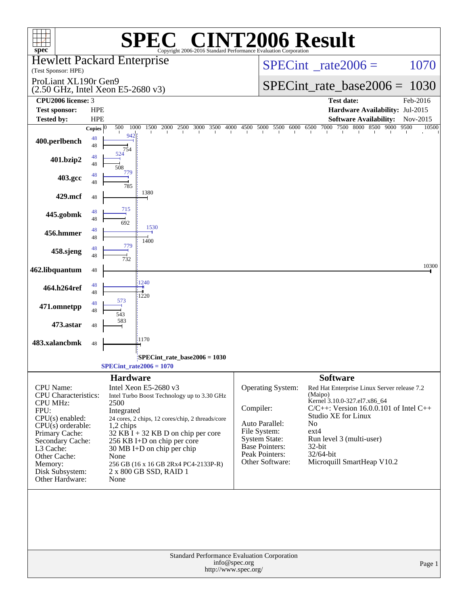| $spec^*$                                                                            |                          |                           | $C^{\circledast}$ CINT2006 Result<br>Copyright 2006-2016 Standard Performance Evaluation Corporation |                                                                                      |                                                                  |               |  |  |  |  |
|-------------------------------------------------------------------------------------|--------------------------|---------------------------|------------------------------------------------------------------------------------------------------|--------------------------------------------------------------------------------------|------------------------------------------------------------------|---------------|--|--|--|--|
| <b>Hewlett Packard Enterprise</b><br>(Test Sponsor: HPE)                            |                          |                           |                                                                                                      |                                                                                      | $SPECint^{\circ}$ rate $2006 =$                                  | 1070          |  |  |  |  |
| ProLiant XL190r Gen9<br>$(2.50 \text{ GHz}, \text{Intel Xeon } E5-2680 \text{ v3})$ |                          |                           |                                                                                                      |                                                                                      | $SPECint_rate\_base2006 =$<br>1030                               |               |  |  |  |  |
| CPU <sub>2006</sub> license: 3                                                      |                          |                           |                                                                                                      |                                                                                      | <b>Test date:</b>                                                | Feb-2016      |  |  |  |  |
| <b>Test sponsor:</b>                                                                | <b>HPE</b>               |                           |                                                                                                      |                                                                                      | Hardware Availability: Jul-2015                                  |               |  |  |  |  |
| <b>Tested by:</b>                                                                   | <b>HPE</b>               |                           |                                                                                                      |                                                                                      | <b>Software Availability:</b>                                    | Nov-2015      |  |  |  |  |
| 400.perlbench                                                                       | Copies $ 0 $<br>48<br>48 | 500<br>1000<br>942<br>754 | 1500<br>2000<br>2500<br>3000 3500<br>4000                                                            |                                                                                      | 4500 5000 5500 6000 6500 7000 7500 8000 8500 9000                | 9500<br>10500 |  |  |  |  |
| 401.bzip2                                                                           | 48<br>48                 | 524<br>508                |                                                                                                      |                                                                                      |                                                                  |               |  |  |  |  |
| 403.gcc                                                                             | 48<br>48                 | 779<br>785                |                                                                                                      |                                                                                      |                                                                  |               |  |  |  |  |
| 429.mcf                                                                             | 48                       |                           | 1380                                                                                                 |                                                                                      |                                                                  |               |  |  |  |  |
| 445.gobmk                                                                           | 48<br>48                 | 715<br>692                | 1530                                                                                                 |                                                                                      |                                                                  |               |  |  |  |  |
| 456.hmmer                                                                           | 48<br>48                 | 779                       | 1400                                                                                                 |                                                                                      |                                                                  |               |  |  |  |  |
| 458.sjeng                                                                           | 48<br>48                 | 732                       |                                                                                                      |                                                                                      |                                                                  |               |  |  |  |  |
| 462.libquantum                                                                      | 48                       |                           | 1240                                                                                                 |                                                                                      |                                                                  | 10300         |  |  |  |  |
| 464.h264ref                                                                         | 48<br>48<br>48           | 573                       | 1220                                                                                                 |                                                                                      |                                                                  |               |  |  |  |  |
| 471.omnetpp                                                                         | 48                       | 543<br>583                |                                                                                                      |                                                                                      |                                                                  |               |  |  |  |  |
| 473.astar<br>483.xalancbmk                                                          | 48                       |                           | 1170                                                                                                 |                                                                                      |                                                                  |               |  |  |  |  |
|                                                                                     | 48                       |                           |                                                                                                      |                                                                                      |                                                                  |               |  |  |  |  |
| SPECint_rate_base2006 = 1030<br>$SPECTnt_rate2006 = 1070$                           |                          |                           |                                                                                                      |                                                                                      |                                                                  |               |  |  |  |  |
|                                                                                     |                          | <b>Hardware</b>           |                                                                                                      |                                                                                      | <b>Software</b>                                                  |               |  |  |  |  |
| CPU Name:<br><b>CPU</b> Characteristics:                                            |                          |                           | Intel Xeon E5-2680 v3<br>Intel Turbo Boost Technology up to 3.30 GHz                                 | Operating System:                                                                    | Red Hat Enterprise Linux Server release 7.2<br>(Maipo)           |               |  |  |  |  |
| <b>CPU MHz:</b>                                                                     |                          | 2500                      |                                                                                                      |                                                                                      | Kernel 3.10.0-327.el7.x86_64                                     |               |  |  |  |  |
| FPU:                                                                                |                          | Integrated                |                                                                                                      | Compiler:                                                                            | $C/C++$ : Version 16.0.0.101 of Intel C++<br>Studio XE for Linux |               |  |  |  |  |
| CPU(s) enabled:<br>$CPU(s)$ orderable:                                              |                          | 1,2 chips                 | 24 cores, 2 chips, 12 cores/chip, 2 threads/core                                                     | Auto Parallel:                                                                       | N <sub>o</sub>                                                   |               |  |  |  |  |
| Primary Cache:                                                                      |                          |                           | $32$ KB I + 32 KB D on chip per core                                                                 | File System:                                                                         | $ext{4}$                                                         |               |  |  |  |  |
| Secondary Cache:                                                                    |                          |                           | 256 KB I+D on chip per core                                                                          | <b>System State:</b><br><b>Base Pointers:</b>                                        | Run level 3 (multi-user)<br>32-bit                               |               |  |  |  |  |
| L3 Cache:<br>Other Cache:                                                           |                          | None                      | $30 \text{ MB I+D}$ on chip per chip                                                                 | Peak Pointers:                                                                       | 32/64-bit                                                        |               |  |  |  |  |
| Memory:                                                                             |                          |                           | 256 GB (16 x 16 GB 2Rx4 PC4-2133P-R)                                                                 | Other Software:                                                                      | Microquill SmartHeap V10.2                                       |               |  |  |  |  |
| Disk Subsystem:<br>Other Hardware:                                                  |                          | None                      | 2 x 800 GB SSD, RAID 1                                                                               |                                                                                      |                                                                  |               |  |  |  |  |
|                                                                                     |                          |                           |                                                                                                      |                                                                                      |                                                                  |               |  |  |  |  |
|                                                                                     |                          |                           |                                                                                                      |                                                                                      |                                                                  |               |  |  |  |  |
|                                                                                     |                          |                           |                                                                                                      | Standard Performance Evaluation Corporation<br>info@spec.org<br>http://www.spec.org/ |                                                                  | Page 1        |  |  |  |  |
|                                                                                     |                          |                           |                                                                                                      |                                                                                      |                                                                  |               |  |  |  |  |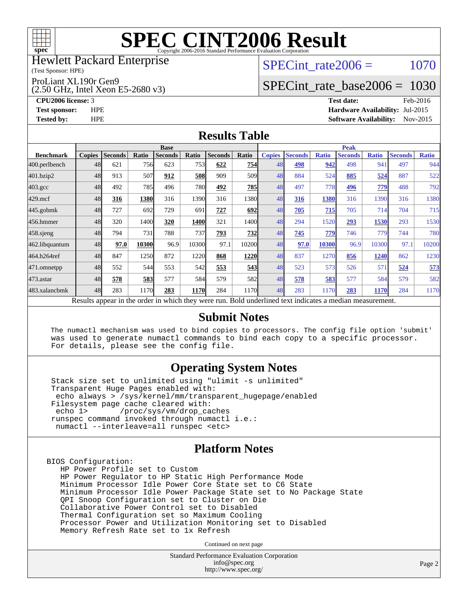

#### Hewlett Packard Enterprise

(Test Sponsor: HPE)

ProLiant XL190r Gen9

(2.50 GHz, Intel Xeon E5-2680 v3)

SPECint rate $2006 = 1070$ 

### [SPECint\\_rate\\_base2006 =](http://www.spec.org/auto/cpu2006/Docs/result-fields.html#SPECintratebase2006) 1030

**[CPU2006 license:](http://www.spec.org/auto/cpu2006/Docs/result-fields.html#CPU2006license)** 3 **[Test date:](http://www.spec.org/auto/cpu2006/Docs/result-fields.html#Testdate)** Feb-2016 **[Test sponsor:](http://www.spec.org/auto/cpu2006/Docs/result-fields.html#Testsponsor)** HPE **[Hardware Availability:](http://www.spec.org/auto/cpu2006/Docs/result-fields.html#HardwareAvailability)** Jul-2015 **[Tested by:](http://www.spec.org/auto/cpu2006/Docs/result-fields.html#Testedby)** HPE **[Software Availability:](http://www.spec.org/auto/cpu2006/Docs/result-fields.html#SoftwareAvailability)** Nov-2015

#### **[Results Table](http://www.spec.org/auto/cpu2006/Docs/result-fields.html#ResultsTable)**

|                                                                                                          | <b>Base</b>   |                |       |                |             |                |       | <b>Peak</b>   |                |              |                |              |                |              |
|----------------------------------------------------------------------------------------------------------|---------------|----------------|-------|----------------|-------------|----------------|-------|---------------|----------------|--------------|----------------|--------------|----------------|--------------|
| <b>Benchmark</b>                                                                                         | <b>Copies</b> | <b>Seconds</b> | Ratio | <b>Seconds</b> | Ratio       | <b>Seconds</b> | Ratio | <b>Copies</b> | <b>Seconds</b> | <b>Ratio</b> | <b>Seconds</b> | <b>Ratio</b> | <b>Seconds</b> | <b>Ratio</b> |
| 400.perlbench                                                                                            | 48            | 621            | 756   | 623            | 753         | 622            | 754   | 48            | 498            | 942          | 498            | 941          | 497            | 944          |
| 401.bzip2                                                                                                | 48            | 913            | 507   | 912            | 508         | 909            | 509   | 48            | 884            | 524          | 885            | 524          | 887            | 522          |
| $403.\mathrm{gcc}$                                                                                       | 48            | 492            | 785   | 496            | 780I        | 492            | 785   | 48            | 497            | 778          | 496            | 779          | 488            | 792          |
| $429$ .mcf                                                                                               | 48            | 316            | 1380  | 316            | 1390        | 316            | 1380l | 48            | <u>316</u>     | 1380         | 316            | 1390         | 316            | 1380         |
| $445$ .gobmk                                                                                             | 48            | 727            | 692   | 729            | 691         | 727            | 692   | 48            | 705            | 715          | 705            | 714          | 704            | 715          |
| 456.hmmer                                                                                                | 48            | 320            | 1400  | 320            | 1400        | 321            | 1400  | 48            | 294            | 1520         | 293            | 1530         | 293            | 1530         |
| $458$ .sjeng                                                                                             | 48            | 794            | 731   | 788            | 737         | 793            | 732   | 48            | 745            | 779          | 746            | 779          | 744            | 780          |
| 462.libquantum                                                                                           | 48            | 97.0           | 10300 | 96.9           | 10300       | 97.1           | 10200 | 48            | 97.0           | 10300        | 96.9           | 10300        | 97.1           | 10200        |
| 464.h264ref                                                                                              | 48            | 847            | 1250  | 872            | 1220        | 868            | 1220  | 48            | 837            | 1270         | 856            | 1240         | 862            | 1230         |
| 471.omnetpp                                                                                              | 48            | 552            | 544   | 553            | 542         | 553            | 543   | 48            | 523            | 573          | 526            | 57           | 524            | 573          |
| 473.astar                                                                                                | 48            | 578            | 583   | 577            | 584         | 579            | 582   | 48            | 578            | 583          | 577            | 584          | 579            | 582          |
| 483.xalancbmk                                                                                            | 48            | 283            | 1170  | 283            | <b>1170</b> | 284            | 1170  | 48            | 283            | 1170         | 283            | 1170         | 284            | 1170         |
| Results appear in the order in which they were run. Bold underlined text indicates a median measurement. |               |                |       |                |             |                |       |               |                |              |                |              |                |              |

#### **[Submit Notes](http://www.spec.org/auto/cpu2006/Docs/result-fields.html#SubmitNotes)**

 The numactl mechanism was used to bind copies to processors. The config file option 'submit' was used to generate numactl commands to bind each copy to a specific processor. For details, please see the config file.

### **[Operating System Notes](http://www.spec.org/auto/cpu2006/Docs/result-fields.html#OperatingSystemNotes)**

 Stack size set to unlimited using "ulimit -s unlimited" Transparent Huge Pages enabled with: echo always > /sys/kernel/mm/transparent\_hugepage/enabled Filesystem page cache cleared with:<br>echo 1> /proc/sys/vm/drop ca /proc/sys/vm/drop\_caches runspec command invoked through numactl i.e.: numactl --interleave=all runspec <etc>

### **[Platform Notes](http://www.spec.org/auto/cpu2006/Docs/result-fields.html#PlatformNotes)**

BIOS Configuration: HP Power Profile set to Custom HP Power Regulator to HP Static High Performance Mode Minimum Processor Idle Power Core State set to C6 State Minimum Processor Idle Power Package State set to No Package State QPI Snoop Configuration set to Cluster on Die Collaborative Power Control set to Disabled Thermal Configuration set so Maximum Cooling Processor Power and Utilization Monitoring set to Disabled Memory Refresh Rate set to 1x Refresh

Continued on next page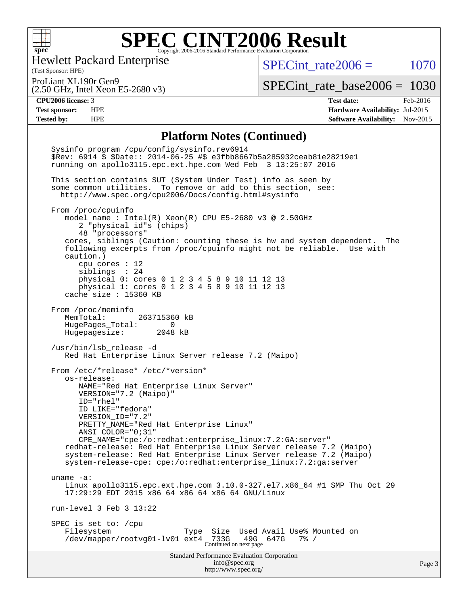

Hewlett Packard Enterprise

SPECint rate $2006 = 1070$ 

ProLiant XL190r Gen9

(2.50 GHz, Intel Xeon E5-2680 v3)

[SPECint\\_rate\\_base2006 =](http://www.spec.org/auto/cpu2006/Docs/result-fields.html#SPECintratebase2006) 1030

(Test Sponsor: HPE)

**[CPU2006 license:](http://www.spec.org/auto/cpu2006/Docs/result-fields.html#CPU2006license)** 3 **[Test date:](http://www.spec.org/auto/cpu2006/Docs/result-fields.html#Testdate)** Feb-2016 **[Test sponsor:](http://www.spec.org/auto/cpu2006/Docs/result-fields.html#Testsponsor)** HPE **[Hardware Availability:](http://www.spec.org/auto/cpu2006/Docs/result-fields.html#HardwareAvailability)** Jul-2015 **[Tested by:](http://www.spec.org/auto/cpu2006/Docs/result-fields.html#Testedby)** HPE **[Software Availability:](http://www.spec.org/auto/cpu2006/Docs/result-fields.html#SoftwareAvailability)** Nov-2015

### **[Platform Notes \(Continued\)](http://www.spec.org/auto/cpu2006/Docs/result-fields.html#PlatformNotes)**

Standard Performance Evaluation Corporation [info@spec.org](mailto:info@spec.org) <http://www.spec.org/> Page 3 Sysinfo program /cpu/config/sysinfo.rev6914 \$Rev: 6914 \$ \$Date:: 2014-06-25 #\$ e3fbb8667b5a285932ceab81e28219e1 running on apollo3115.epc.ext.hpe.com Wed Feb 3 13:25:07 2016 This section contains SUT (System Under Test) info as seen by some common utilities. To remove or add to this section, see: <http://www.spec.org/cpu2006/Docs/config.html#sysinfo> From /proc/cpuinfo model name : Intel(R) Xeon(R) CPU E5-2680 v3 @ 2.50GHz 2 "physical id"s (chips) 48 "processors" cores, siblings (Caution: counting these is hw and system dependent. The following excerpts from /proc/cpuinfo might not be reliable. Use with caution.) cpu cores : 12 siblings : 24 physical 0: cores 0 1 2 3 4 5 8 9 10 11 12 13 physical 1: cores 0 1 2 3 4 5 8 9 10 11 12 13 cache size : 15360 KB From /proc/meminfo MemTotal: 263715360 kB HugePages\_Total: 0<br>Hugepagesize: 2048 kB Hugepagesize: /usr/bin/lsb\_release -d Red Hat Enterprise Linux Server release 7.2 (Maipo) From /etc/\*release\* /etc/\*version\* os-release: NAME="Red Hat Enterprise Linux Server" VERSION="7.2 (Maipo)" ID="rhel" ID\_LIKE="fedora" VERSION\_ID="7.2" PRETTY\_NAME="Red Hat Enterprise Linux" ANSI\_COLOR="0;31" CPE\_NAME="cpe:/o:redhat:enterprise\_linux:7.2:GA:server" redhat-release: Red Hat Enterprise Linux Server release 7.2 (Maipo) system-release: Red Hat Enterprise Linux Server release 7.2 (Maipo) system-release-cpe: cpe:/o:redhat:enterprise\_linux:7.2:ga:server uname -a: Linux apollo3115.epc.ext.hpe.com 3.10.0-327.el7.x86\_64 #1 SMP Thu Oct 29 17:29:29 EDT 2015 x86\_64 x86\_64 x86\_64 GNU/Linux run-level 3 Feb 3 13:22 SPEC is set to: /cpu Filesystem Type Size Used Avail Use% Mounted on<br>
/dev/mapper/rootvg01-lv01 ext4 733G 49G 647G 7% / /dev/mapper/rootvg01-lv01 ext4 733G 49G 647G 7% / Continued on next page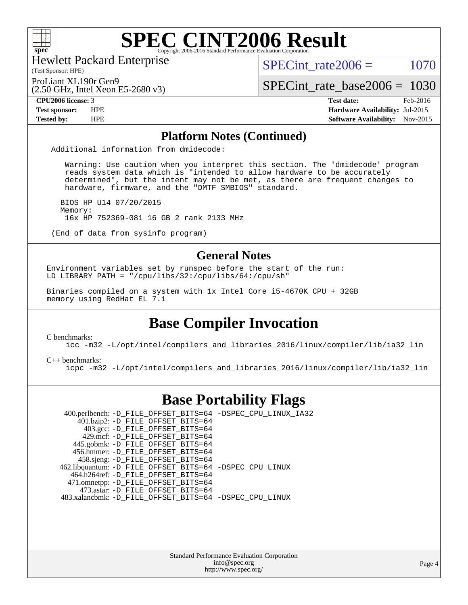

Hewlett Packard Enterprise

(Test Sponsor: HPE)

SPECint rate $2006 = 1070$ 

(2.50 GHz, Intel Xeon E5-2680 v3) ProLiant XL190r Gen9

[SPECint\\_rate\\_base2006 =](http://www.spec.org/auto/cpu2006/Docs/result-fields.html#SPECintratebase2006) 1030

**[CPU2006 license:](http://www.spec.org/auto/cpu2006/Docs/result-fields.html#CPU2006license)** 3 **[Test date:](http://www.spec.org/auto/cpu2006/Docs/result-fields.html#Testdate)** Feb-2016 **[Test sponsor:](http://www.spec.org/auto/cpu2006/Docs/result-fields.html#Testsponsor)** HPE **[Hardware Availability:](http://www.spec.org/auto/cpu2006/Docs/result-fields.html#HardwareAvailability)** Jul-2015 **[Tested by:](http://www.spec.org/auto/cpu2006/Docs/result-fields.html#Testedby)** HPE **[Software Availability:](http://www.spec.org/auto/cpu2006/Docs/result-fields.html#SoftwareAvailability)** Nov-2015

#### **[Platform Notes \(Continued\)](http://www.spec.org/auto/cpu2006/Docs/result-fields.html#PlatformNotes)**

Additional information from dmidecode:

 Warning: Use caution when you interpret this section. The 'dmidecode' program reads system data which is "intended to allow hardware to be accurately determined", but the intent may not be met, as there are frequent changes to hardware, firmware, and the "DMTF SMBIOS" standard.

 BIOS HP U14 07/20/2015 Memory: 16x HP 752369-081 16 GB 2 rank 2133 MHz

(End of data from sysinfo program)

#### **[General Notes](http://www.spec.org/auto/cpu2006/Docs/result-fields.html#GeneralNotes)**

Environment variables set by runspec before the start of the run: LD LIBRARY PATH = "/cpu/libs/32:/cpu/libs/64:/cpu/sh"

Binaries compiled on a system with 1x Intel Core i5-4670K CPU + 32GB memory using RedHat EL 7.1

### **[Base Compiler Invocation](http://www.spec.org/auto/cpu2006/Docs/result-fields.html#BaseCompilerInvocation)**

[C benchmarks](http://www.spec.org/auto/cpu2006/Docs/result-fields.html#Cbenchmarks):

[icc -m32 -L/opt/intel/compilers\\_and\\_libraries\\_2016/linux/compiler/lib/ia32\\_lin](http://www.spec.org/cpu2006/results/res2016q1/cpu2006-20160208-39016.flags.html#user_CCbase_intel_icc_e10256ba5924b668798078a321b0cb3f)

[C++ benchmarks:](http://www.spec.org/auto/cpu2006/Docs/result-fields.html#CXXbenchmarks)

[icpc -m32 -L/opt/intel/compilers\\_and\\_libraries\\_2016/linux/compiler/lib/ia32\\_lin](http://www.spec.org/cpu2006/results/res2016q1/cpu2006-20160208-39016.flags.html#user_CXXbase_intel_icpc_b4f50a394bdb4597aa5879c16bc3f5c5)

### **[Base Portability Flags](http://www.spec.org/auto/cpu2006/Docs/result-fields.html#BasePortabilityFlags)**

 400.perlbench: [-D\\_FILE\\_OFFSET\\_BITS=64](http://www.spec.org/cpu2006/results/res2016q1/cpu2006-20160208-39016.flags.html#user_basePORTABILITY400_perlbench_file_offset_bits_64_438cf9856305ebd76870a2c6dc2689ab) [-DSPEC\\_CPU\\_LINUX\\_IA32](http://www.spec.org/cpu2006/results/res2016q1/cpu2006-20160208-39016.flags.html#b400.perlbench_baseCPORTABILITY_DSPEC_CPU_LINUX_IA32) 401.bzip2: [-D\\_FILE\\_OFFSET\\_BITS=64](http://www.spec.org/cpu2006/results/res2016q1/cpu2006-20160208-39016.flags.html#user_basePORTABILITY401_bzip2_file_offset_bits_64_438cf9856305ebd76870a2c6dc2689ab) 403.gcc: [-D\\_FILE\\_OFFSET\\_BITS=64](http://www.spec.org/cpu2006/results/res2016q1/cpu2006-20160208-39016.flags.html#user_basePORTABILITY403_gcc_file_offset_bits_64_438cf9856305ebd76870a2c6dc2689ab) 429.mcf: [-D\\_FILE\\_OFFSET\\_BITS=64](http://www.spec.org/cpu2006/results/res2016q1/cpu2006-20160208-39016.flags.html#user_basePORTABILITY429_mcf_file_offset_bits_64_438cf9856305ebd76870a2c6dc2689ab) 445.gobmk: [-D\\_FILE\\_OFFSET\\_BITS=64](http://www.spec.org/cpu2006/results/res2016q1/cpu2006-20160208-39016.flags.html#user_basePORTABILITY445_gobmk_file_offset_bits_64_438cf9856305ebd76870a2c6dc2689ab) 456.hmmer: [-D\\_FILE\\_OFFSET\\_BITS=64](http://www.spec.org/cpu2006/results/res2016q1/cpu2006-20160208-39016.flags.html#user_basePORTABILITY456_hmmer_file_offset_bits_64_438cf9856305ebd76870a2c6dc2689ab) 458.sjeng: [-D\\_FILE\\_OFFSET\\_BITS=64](http://www.spec.org/cpu2006/results/res2016q1/cpu2006-20160208-39016.flags.html#user_basePORTABILITY458_sjeng_file_offset_bits_64_438cf9856305ebd76870a2c6dc2689ab) 462.libquantum: [-D\\_FILE\\_OFFSET\\_BITS=64](http://www.spec.org/cpu2006/results/res2016q1/cpu2006-20160208-39016.flags.html#user_basePORTABILITY462_libquantum_file_offset_bits_64_438cf9856305ebd76870a2c6dc2689ab) [-DSPEC\\_CPU\\_LINUX](http://www.spec.org/cpu2006/results/res2016q1/cpu2006-20160208-39016.flags.html#b462.libquantum_baseCPORTABILITY_DSPEC_CPU_LINUX) 464.h264ref: [-D\\_FILE\\_OFFSET\\_BITS=64](http://www.spec.org/cpu2006/results/res2016q1/cpu2006-20160208-39016.flags.html#user_basePORTABILITY464_h264ref_file_offset_bits_64_438cf9856305ebd76870a2c6dc2689ab) 471.omnetpp: [-D\\_FILE\\_OFFSET\\_BITS=64](http://www.spec.org/cpu2006/results/res2016q1/cpu2006-20160208-39016.flags.html#user_basePORTABILITY471_omnetpp_file_offset_bits_64_438cf9856305ebd76870a2c6dc2689ab) 473.astar: [-D\\_FILE\\_OFFSET\\_BITS=64](http://www.spec.org/cpu2006/results/res2016q1/cpu2006-20160208-39016.flags.html#user_basePORTABILITY473_astar_file_offset_bits_64_438cf9856305ebd76870a2c6dc2689ab) 483.xalancbmk: [-D\\_FILE\\_OFFSET\\_BITS=64](http://www.spec.org/cpu2006/results/res2016q1/cpu2006-20160208-39016.flags.html#user_basePORTABILITY483_xalancbmk_file_offset_bits_64_438cf9856305ebd76870a2c6dc2689ab) [-DSPEC\\_CPU\\_LINUX](http://www.spec.org/cpu2006/results/res2016q1/cpu2006-20160208-39016.flags.html#b483.xalancbmk_baseCXXPORTABILITY_DSPEC_CPU_LINUX)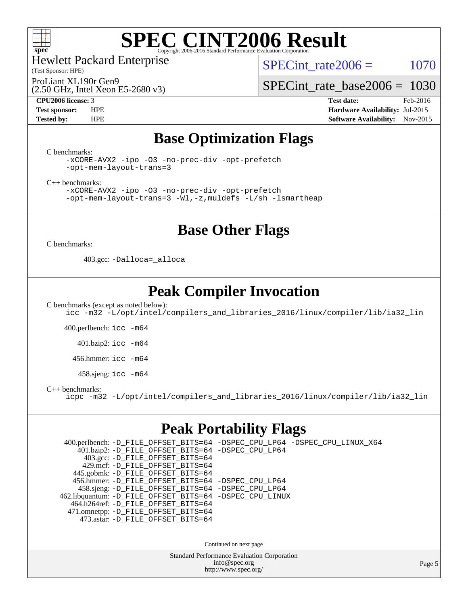

Hewlett Packard Enterprise

(Test Sponsor: HPE)

SPECint rate $2006 = 1070$ 

ProLiant XL190r Gen9

(2.50 GHz, Intel Xeon E5-2680 v3)

[SPECint\\_rate\\_base2006 =](http://www.spec.org/auto/cpu2006/Docs/result-fields.html#SPECintratebase2006) 1030

**[CPU2006 license:](http://www.spec.org/auto/cpu2006/Docs/result-fields.html#CPU2006license)** 3 **[Test date:](http://www.spec.org/auto/cpu2006/Docs/result-fields.html#Testdate)** Feb-2016 **[Test sponsor:](http://www.spec.org/auto/cpu2006/Docs/result-fields.html#Testsponsor)** HPE **[Hardware Availability:](http://www.spec.org/auto/cpu2006/Docs/result-fields.html#HardwareAvailability)** Jul-2015 **[Tested by:](http://www.spec.org/auto/cpu2006/Docs/result-fields.html#Testedby)** HPE **[Software Availability:](http://www.spec.org/auto/cpu2006/Docs/result-fields.html#SoftwareAvailability)** Nov-2015

### **[Base Optimization Flags](http://www.spec.org/auto/cpu2006/Docs/result-fields.html#BaseOptimizationFlags)**

[C benchmarks](http://www.spec.org/auto/cpu2006/Docs/result-fields.html#Cbenchmarks):

[-xCORE-AVX2](http://www.spec.org/cpu2006/results/res2016q1/cpu2006-20160208-39016.flags.html#user_CCbase_f-xAVX2_5f5fc0cbe2c9f62c816d3e45806c70d7) [-ipo](http://www.spec.org/cpu2006/results/res2016q1/cpu2006-20160208-39016.flags.html#user_CCbase_f-ipo) [-O3](http://www.spec.org/cpu2006/results/res2016q1/cpu2006-20160208-39016.flags.html#user_CCbase_f-O3) [-no-prec-div](http://www.spec.org/cpu2006/results/res2016q1/cpu2006-20160208-39016.flags.html#user_CCbase_f-no-prec-div) [-opt-prefetch](http://www.spec.org/cpu2006/results/res2016q1/cpu2006-20160208-39016.flags.html#user_CCbase_f-opt-prefetch) [-opt-mem-layout-trans=3](http://www.spec.org/cpu2006/results/res2016q1/cpu2006-20160208-39016.flags.html#user_CCbase_f-opt-mem-layout-trans_a7b82ad4bd7abf52556d4961a2ae94d5)

[C++ benchmarks:](http://www.spec.org/auto/cpu2006/Docs/result-fields.html#CXXbenchmarks)

[-xCORE-AVX2](http://www.spec.org/cpu2006/results/res2016q1/cpu2006-20160208-39016.flags.html#user_CXXbase_f-xAVX2_5f5fc0cbe2c9f62c816d3e45806c70d7) [-ipo](http://www.spec.org/cpu2006/results/res2016q1/cpu2006-20160208-39016.flags.html#user_CXXbase_f-ipo) [-O3](http://www.spec.org/cpu2006/results/res2016q1/cpu2006-20160208-39016.flags.html#user_CXXbase_f-O3) [-no-prec-div](http://www.spec.org/cpu2006/results/res2016q1/cpu2006-20160208-39016.flags.html#user_CXXbase_f-no-prec-div) [-opt-prefetch](http://www.spec.org/cpu2006/results/res2016q1/cpu2006-20160208-39016.flags.html#user_CXXbase_f-opt-prefetch) [-opt-mem-layout-trans=3](http://www.spec.org/cpu2006/results/res2016q1/cpu2006-20160208-39016.flags.html#user_CXXbase_f-opt-mem-layout-trans_a7b82ad4bd7abf52556d4961a2ae94d5) [-Wl,-z,muldefs](http://www.spec.org/cpu2006/results/res2016q1/cpu2006-20160208-39016.flags.html#user_CXXbase_link_force_multiple1_74079c344b956b9658436fd1b6dd3a8a) [-L/sh -lsmartheap](http://www.spec.org/cpu2006/results/res2016q1/cpu2006-20160208-39016.flags.html#user_CXXbase_SmartHeap_32f6c82aa1ed9c52345d30cf6e4a0499)

### **[Base Other Flags](http://www.spec.org/auto/cpu2006/Docs/result-fields.html#BaseOtherFlags)**

[C benchmarks](http://www.spec.org/auto/cpu2006/Docs/result-fields.html#Cbenchmarks):

403.gcc: [-Dalloca=\\_alloca](http://www.spec.org/cpu2006/results/res2016q1/cpu2006-20160208-39016.flags.html#b403.gcc_baseEXTRA_CFLAGS_Dalloca_be3056838c12de2578596ca5467af7f3)

### **[Peak Compiler Invocation](http://www.spec.org/auto/cpu2006/Docs/result-fields.html#PeakCompilerInvocation)**

[C benchmarks \(except as noted below\)](http://www.spec.org/auto/cpu2006/Docs/result-fields.html#Cbenchmarksexceptasnotedbelow): [icc -m32 -L/opt/intel/compilers\\_and\\_libraries\\_2016/linux/compiler/lib/ia32\\_lin](http://www.spec.org/cpu2006/results/res2016q1/cpu2006-20160208-39016.flags.html#user_CCpeak_intel_icc_e10256ba5924b668798078a321b0cb3f)

400.perlbench: [icc -m64](http://www.spec.org/cpu2006/results/res2016q1/cpu2006-20160208-39016.flags.html#user_peakCCLD400_perlbench_intel_icc_64bit_bda6cc9af1fdbb0edc3795bac97ada53)

401.bzip2: [icc -m64](http://www.spec.org/cpu2006/results/res2016q1/cpu2006-20160208-39016.flags.html#user_peakCCLD401_bzip2_intel_icc_64bit_bda6cc9af1fdbb0edc3795bac97ada53)

456.hmmer: [icc -m64](http://www.spec.org/cpu2006/results/res2016q1/cpu2006-20160208-39016.flags.html#user_peakCCLD456_hmmer_intel_icc_64bit_bda6cc9af1fdbb0edc3795bac97ada53)

458.sjeng: [icc -m64](http://www.spec.org/cpu2006/results/res2016q1/cpu2006-20160208-39016.flags.html#user_peakCCLD458_sjeng_intel_icc_64bit_bda6cc9af1fdbb0edc3795bac97ada53)

[C++ benchmarks:](http://www.spec.org/auto/cpu2006/Docs/result-fields.html#CXXbenchmarks)

[icpc -m32 -L/opt/intel/compilers\\_and\\_libraries\\_2016/linux/compiler/lib/ia32\\_lin](http://www.spec.org/cpu2006/results/res2016q1/cpu2006-20160208-39016.flags.html#user_CXXpeak_intel_icpc_b4f50a394bdb4597aa5879c16bc3f5c5)

### **[Peak Portability Flags](http://www.spec.org/auto/cpu2006/Docs/result-fields.html#PeakPortabilityFlags)**

 400.perlbench: [-D\\_FILE\\_OFFSET\\_BITS=64](http://www.spec.org/cpu2006/results/res2016q1/cpu2006-20160208-39016.flags.html#user_peakPORTABILITY400_perlbench_file_offset_bits_64_438cf9856305ebd76870a2c6dc2689ab) [-DSPEC\\_CPU\\_LP64](http://www.spec.org/cpu2006/results/res2016q1/cpu2006-20160208-39016.flags.html#b400.perlbench_peakCPORTABILITY_DSPEC_CPU_LP64) [-DSPEC\\_CPU\\_LINUX\\_X64](http://www.spec.org/cpu2006/results/res2016q1/cpu2006-20160208-39016.flags.html#b400.perlbench_peakCPORTABILITY_DSPEC_CPU_LINUX_X64) 401.bzip2: [-D\\_FILE\\_OFFSET\\_BITS=64](http://www.spec.org/cpu2006/results/res2016q1/cpu2006-20160208-39016.flags.html#user_peakPORTABILITY401_bzip2_file_offset_bits_64_438cf9856305ebd76870a2c6dc2689ab) [-DSPEC\\_CPU\\_LP64](http://www.spec.org/cpu2006/results/res2016q1/cpu2006-20160208-39016.flags.html#suite_peakCPORTABILITY401_bzip2_DSPEC_CPU_LP64) 403.gcc: [-D\\_FILE\\_OFFSET\\_BITS=64](http://www.spec.org/cpu2006/results/res2016q1/cpu2006-20160208-39016.flags.html#user_peakPORTABILITY403_gcc_file_offset_bits_64_438cf9856305ebd76870a2c6dc2689ab) 429.mcf: [-D\\_FILE\\_OFFSET\\_BITS=64](http://www.spec.org/cpu2006/results/res2016q1/cpu2006-20160208-39016.flags.html#user_peakPORTABILITY429_mcf_file_offset_bits_64_438cf9856305ebd76870a2c6dc2689ab) 445.gobmk: [-D\\_FILE\\_OFFSET\\_BITS=64](http://www.spec.org/cpu2006/results/res2016q1/cpu2006-20160208-39016.flags.html#user_peakPORTABILITY445_gobmk_file_offset_bits_64_438cf9856305ebd76870a2c6dc2689ab) 456.hmmer: [-D\\_FILE\\_OFFSET\\_BITS=64](http://www.spec.org/cpu2006/results/res2016q1/cpu2006-20160208-39016.flags.html#user_peakPORTABILITY456_hmmer_file_offset_bits_64_438cf9856305ebd76870a2c6dc2689ab) [-DSPEC\\_CPU\\_LP64](http://www.spec.org/cpu2006/results/res2016q1/cpu2006-20160208-39016.flags.html#suite_peakCPORTABILITY456_hmmer_DSPEC_CPU_LP64) 458.sjeng: [-D\\_FILE\\_OFFSET\\_BITS=64](http://www.spec.org/cpu2006/results/res2016q1/cpu2006-20160208-39016.flags.html#user_peakPORTABILITY458_sjeng_file_offset_bits_64_438cf9856305ebd76870a2c6dc2689ab) [-DSPEC\\_CPU\\_LP64](http://www.spec.org/cpu2006/results/res2016q1/cpu2006-20160208-39016.flags.html#suite_peakCPORTABILITY458_sjeng_DSPEC_CPU_LP64) 462.libquantum: [-D\\_FILE\\_OFFSET\\_BITS=64](http://www.spec.org/cpu2006/results/res2016q1/cpu2006-20160208-39016.flags.html#user_peakPORTABILITY462_libquantum_file_offset_bits_64_438cf9856305ebd76870a2c6dc2689ab) [-DSPEC\\_CPU\\_LINUX](http://www.spec.org/cpu2006/results/res2016q1/cpu2006-20160208-39016.flags.html#b462.libquantum_peakCPORTABILITY_DSPEC_CPU_LINUX) 464.h264ref: [-D\\_FILE\\_OFFSET\\_BITS=64](http://www.spec.org/cpu2006/results/res2016q1/cpu2006-20160208-39016.flags.html#user_peakPORTABILITY464_h264ref_file_offset_bits_64_438cf9856305ebd76870a2c6dc2689ab) 471.omnetpp: [-D\\_FILE\\_OFFSET\\_BITS=64](http://www.spec.org/cpu2006/results/res2016q1/cpu2006-20160208-39016.flags.html#user_peakPORTABILITY471_omnetpp_file_offset_bits_64_438cf9856305ebd76870a2c6dc2689ab) 473.astar: [-D\\_FILE\\_OFFSET\\_BITS=64](http://www.spec.org/cpu2006/results/res2016q1/cpu2006-20160208-39016.flags.html#user_peakPORTABILITY473_astar_file_offset_bits_64_438cf9856305ebd76870a2c6dc2689ab) Continued on next page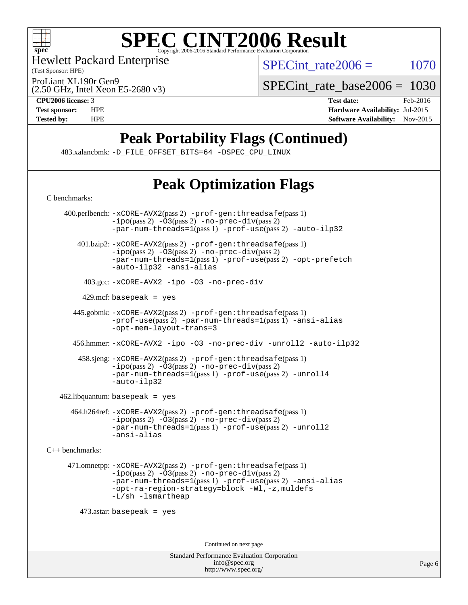

Hewlett Packard Enterprise

(Test Sponsor: HPE)

SPECint rate $2006 = 1070$ 

(2.50 GHz, Intel Xeon E5-2680 v3) ProLiant XL190r Gen9

[SPECint\\_rate\\_base2006 =](http://www.spec.org/auto/cpu2006/Docs/result-fields.html#SPECintratebase2006) 1030

**[CPU2006 license:](http://www.spec.org/auto/cpu2006/Docs/result-fields.html#CPU2006license)** 3 **[Test date:](http://www.spec.org/auto/cpu2006/Docs/result-fields.html#Testdate)** Feb-2016 **[Test sponsor:](http://www.spec.org/auto/cpu2006/Docs/result-fields.html#Testsponsor)** HPE **[Hardware Availability:](http://www.spec.org/auto/cpu2006/Docs/result-fields.html#HardwareAvailability)** Jul-2015 **[Tested by:](http://www.spec.org/auto/cpu2006/Docs/result-fields.html#Testedby)** HPE **[Software Availability:](http://www.spec.org/auto/cpu2006/Docs/result-fields.html#SoftwareAvailability)** Nov-2015

# **[Peak Portability Flags \(Continued\)](http://www.spec.org/auto/cpu2006/Docs/result-fields.html#PeakPortabilityFlags)**

483.xalancbmk: [-D\\_FILE\\_OFFSET\\_BITS=64](http://www.spec.org/cpu2006/results/res2016q1/cpu2006-20160208-39016.flags.html#user_peakPORTABILITY483_xalancbmk_file_offset_bits_64_438cf9856305ebd76870a2c6dc2689ab) [-DSPEC\\_CPU\\_LINUX](http://www.spec.org/cpu2006/results/res2016q1/cpu2006-20160208-39016.flags.html#b483.xalancbmk_peakCXXPORTABILITY_DSPEC_CPU_LINUX)

# **[Peak Optimization Flags](http://www.spec.org/auto/cpu2006/Docs/result-fields.html#PeakOptimizationFlags)**

Standard Performance Evaluation Corporation [C benchmarks](http://www.spec.org/auto/cpu2006/Docs/result-fields.html#Cbenchmarks): 400.perlbench: [-xCORE-AVX2](http://www.spec.org/cpu2006/results/res2016q1/cpu2006-20160208-39016.flags.html#user_peakPASS2_CFLAGSPASS2_LDCFLAGS400_perlbench_f-xAVX2_5f5fc0cbe2c9f62c816d3e45806c70d7)(pass 2) [-prof-gen:threadsafe](http://www.spec.org/cpu2006/results/res2016q1/cpu2006-20160208-39016.flags.html#user_peakPASS1_CFLAGSPASS1_LDCFLAGS400_perlbench_prof_gen_21a26eb79f378b550acd7bec9fe4467a)(pass 1)  $-i\text{po}(pass 2) -O3(pass 2) -no-prec-div(pass 2)$  $-i\text{po}(pass 2) -O3(pass 2) -no-prec-div(pass 2)$  $-i\text{po}(pass 2) -O3(pass 2) -no-prec-div(pass 2)$  $-i\text{po}(pass 2) -O3(pass 2) -no-prec-div(pass 2)$  $-i\text{po}(pass 2) -O3(pass 2) -no-prec-div(pass 2)$ [-par-num-threads=1](http://www.spec.org/cpu2006/results/res2016q1/cpu2006-20160208-39016.flags.html#user_peakPASS1_CFLAGSPASS1_LDCFLAGS400_perlbench_par_num_threads_786a6ff141b4e9e90432e998842df6c2)(pass 1) [-prof-use](http://www.spec.org/cpu2006/results/res2016q1/cpu2006-20160208-39016.flags.html#user_peakPASS2_CFLAGSPASS2_LDCFLAGS400_perlbench_prof_use_bccf7792157ff70d64e32fe3e1250b55)(pass 2) [-auto-ilp32](http://www.spec.org/cpu2006/results/res2016q1/cpu2006-20160208-39016.flags.html#user_peakCOPTIMIZE400_perlbench_f-auto-ilp32) 401.bzip2: [-xCORE-AVX2](http://www.spec.org/cpu2006/results/res2016q1/cpu2006-20160208-39016.flags.html#user_peakPASS2_CFLAGSPASS2_LDCFLAGS401_bzip2_f-xAVX2_5f5fc0cbe2c9f62c816d3e45806c70d7)(pass 2) [-prof-gen:threadsafe](http://www.spec.org/cpu2006/results/res2016q1/cpu2006-20160208-39016.flags.html#user_peakPASS1_CFLAGSPASS1_LDCFLAGS401_bzip2_prof_gen_21a26eb79f378b550acd7bec9fe4467a)(pass 1)  $-i\text{po}(pass 2)$   $-03(pass 2)$   $-no-prec-div(pass 2)$  $-no-prec-div(pass 2)$ [-par-num-threads=1](http://www.spec.org/cpu2006/results/res2016q1/cpu2006-20160208-39016.flags.html#user_peakPASS1_CFLAGSPASS1_LDCFLAGS401_bzip2_par_num_threads_786a6ff141b4e9e90432e998842df6c2)(pass 1) [-prof-use](http://www.spec.org/cpu2006/results/res2016q1/cpu2006-20160208-39016.flags.html#user_peakPASS2_CFLAGSPASS2_LDCFLAGS401_bzip2_prof_use_bccf7792157ff70d64e32fe3e1250b55)(pass 2) [-opt-prefetch](http://www.spec.org/cpu2006/results/res2016q1/cpu2006-20160208-39016.flags.html#user_peakCOPTIMIZE401_bzip2_f-opt-prefetch) [-auto-ilp32](http://www.spec.org/cpu2006/results/res2016q1/cpu2006-20160208-39016.flags.html#user_peakCOPTIMIZE401_bzip2_f-auto-ilp32) [-ansi-alias](http://www.spec.org/cpu2006/results/res2016q1/cpu2006-20160208-39016.flags.html#user_peakCOPTIMIZE401_bzip2_f-ansi-alias) 403.gcc: [-xCORE-AVX2](http://www.spec.org/cpu2006/results/res2016q1/cpu2006-20160208-39016.flags.html#user_peakCOPTIMIZE403_gcc_f-xAVX2_5f5fc0cbe2c9f62c816d3e45806c70d7) [-ipo](http://www.spec.org/cpu2006/results/res2016q1/cpu2006-20160208-39016.flags.html#user_peakCOPTIMIZE403_gcc_f-ipo) [-O3](http://www.spec.org/cpu2006/results/res2016q1/cpu2006-20160208-39016.flags.html#user_peakCOPTIMIZE403_gcc_f-O3) [-no-prec-div](http://www.spec.org/cpu2006/results/res2016q1/cpu2006-20160208-39016.flags.html#user_peakCOPTIMIZE403_gcc_f-no-prec-div)  $429$ .mcf: basepeak = yes 445.gobmk: [-xCORE-AVX2](http://www.spec.org/cpu2006/results/res2016q1/cpu2006-20160208-39016.flags.html#user_peakPASS2_CFLAGSPASS2_LDCFLAGS445_gobmk_f-xAVX2_5f5fc0cbe2c9f62c816d3e45806c70d7)(pass 2) [-prof-gen:threadsafe](http://www.spec.org/cpu2006/results/res2016q1/cpu2006-20160208-39016.flags.html#user_peakPASS1_CFLAGSPASS1_LDCFLAGS445_gobmk_prof_gen_21a26eb79f378b550acd7bec9fe4467a)(pass 1) [-prof-use](http://www.spec.org/cpu2006/results/res2016q1/cpu2006-20160208-39016.flags.html#user_peakPASS2_CFLAGSPASS2_LDCFLAGS445_gobmk_prof_use_bccf7792157ff70d64e32fe3e1250b55)(pass 2) [-par-num-threads=1](http://www.spec.org/cpu2006/results/res2016q1/cpu2006-20160208-39016.flags.html#user_peakPASS1_CFLAGSPASS1_LDCFLAGS445_gobmk_par_num_threads_786a6ff141b4e9e90432e998842df6c2)(pass 1) [-ansi-alias](http://www.spec.org/cpu2006/results/res2016q1/cpu2006-20160208-39016.flags.html#user_peakCOPTIMIZE445_gobmk_f-ansi-alias) [-opt-mem-layout-trans=3](http://www.spec.org/cpu2006/results/res2016q1/cpu2006-20160208-39016.flags.html#user_peakCOPTIMIZE445_gobmk_f-opt-mem-layout-trans_a7b82ad4bd7abf52556d4961a2ae94d5) 456.hmmer: [-xCORE-AVX2](http://www.spec.org/cpu2006/results/res2016q1/cpu2006-20160208-39016.flags.html#user_peakCOPTIMIZE456_hmmer_f-xAVX2_5f5fc0cbe2c9f62c816d3e45806c70d7) [-ipo](http://www.spec.org/cpu2006/results/res2016q1/cpu2006-20160208-39016.flags.html#user_peakCOPTIMIZE456_hmmer_f-ipo) [-O3](http://www.spec.org/cpu2006/results/res2016q1/cpu2006-20160208-39016.flags.html#user_peakCOPTIMIZE456_hmmer_f-O3) [-no-prec-div](http://www.spec.org/cpu2006/results/res2016q1/cpu2006-20160208-39016.flags.html#user_peakCOPTIMIZE456_hmmer_f-no-prec-div) [-unroll2](http://www.spec.org/cpu2006/results/res2016q1/cpu2006-20160208-39016.flags.html#user_peakCOPTIMIZE456_hmmer_f-unroll_784dae83bebfb236979b41d2422d7ec2) [-auto-ilp32](http://www.spec.org/cpu2006/results/res2016q1/cpu2006-20160208-39016.flags.html#user_peakCOPTIMIZE456_hmmer_f-auto-ilp32) 458.sjeng: [-xCORE-AVX2](http://www.spec.org/cpu2006/results/res2016q1/cpu2006-20160208-39016.flags.html#user_peakPASS2_CFLAGSPASS2_LDCFLAGS458_sjeng_f-xAVX2_5f5fc0cbe2c9f62c816d3e45806c70d7)(pass 2) [-prof-gen:threadsafe](http://www.spec.org/cpu2006/results/res2016q1/cpu2006-20160208-39016.flags.html#user_peakPASS1_CFLAGSPASS1_LDCFLAGS458_sjeng_prof_gen_21a26eb79f378b550acd7bec9fe4467a)(pass 1)  $-i\text{po}(pass 2)$  - $\bar{O}3(pass 2)$  [-no-prec-div](http://www.spec.org/cpu2006/results/res2016q1/cpu2006-20160208-39016.flags.html#user_peakPASS2_CFLAGSPASS2_LDCFLAGS458_sjeng_f-no-prec-div)(pass 2) [-par-num-threads=1](http://www.spec.org/cpu2006/results/res2016q1/cpu2006-20160208-39016.flags.html#user_peakPASS1_CFLAGSPASS1_LDCFLAGS458_sjeng_par_num_threads_786a6ff141b4e9e90432e998842df6c2)(pass 1) [-prof-use](http://www.spec.org/cpu2006/results/res2016q1/cpu2006-20160208-39016.flags.html#user_peakPASS2_CFLAGSPASS2_LDCFLAGS458_sjeng_prof_use_bccf7792157ff70d64e32fe3e1250b55)(pass 2) [-unroll4](http://www.spec.org/cpu2006/results/res2016q1/cpu2006-20160208-39016.flags.html#user_peakCOPTIMIZE458_sjeng_f-unroll_4e5e4ed65b7fd20bdcd365bec371b81f) [-auto-ilp32](http://www.spec.org/cpu2006/results/res2016q1/cpu2006-20160208-39016.flags.html#user_peakCOPTIMIZE458_sjeng_f-auto-ilp32) 462.libquantum: basepeak = yes 464.h264ref: [-xCORE-AVX2](http://www.spec.org/cpu2006/results/res2016q1/cpu2006-20160208-39016.flags.html#user_peakPASS2_CFLAGSPASS2_LDCFLAGS464_h264ref_f-xAVX2_5f5fc0cbe2c9f62c816d3e45806c70d7)(pass 2) [-prof-gen:threadsafe](http://www.spec.org/cpu2006/results/res2016q1/cpu2006-20160208-39016.flags.html#user_peakPASS1_CFLAGSPASS1_LDCFLAGS464_h264ref_prof_gen_21a26eb79f378b550acd7bec9fe4467a)(pass 1) [-ipo](http://www.spec.org/cpu2006/results/res2016q1/cpu2006-20160208-39016.flags.html#user_peakPASS2_CFLAGSPASS2_LDCFLAGS464_h264ref_f-ipo)(pass 2) [-O3](http://www.spec.org/cpu2006/results/res2016q1/cpu2006-20160208-39016.flags.html#user_peakPASS2_CFLAGSPASS2_LDCFLAGS464_h264ref_f-O3)(pass 2) [-no-prec-div](http://www.spec.org/cpu2006/results/res2016q1/cpu2006-20160208-39016.flags.html#user_peakPASS2_CFLAGSPASS2_LDCFLAGS464_h264ref_f-no-prec-div)(pass 2) [-par-num-threads=1](http://www.spec.org/cpu2006/results/res2016q1/cpu2006-20160208-39016.flags.html#user_peakPASS1_CFLAGSPASS1_LDCFLAGS464_h264ref_par_num_threads_786a6ff141b4e9e90432e998842df6c2)(pass 1) [-prof-use](http://www.spec.org/cpu2006/results/res2016q1/cpu2006-20160208-39016.flags.html#user_peakPASS2_CFLAGSPASS2_LDCFLAGS464_h264ref_prof_use_bccf7792157ff70d64e32fe3e1250b55)(pass 2) [-unroll2](http://www.spec.org/cpu2006/results/res2016q1/cpu2006-20160208-39016.flags.html#user_peakCOPTIMIZE464_h264ref_f-unroll_784dae83bebfb236979b41d2422d7ec2) [-ansi-alias](http://www.spec.org/cpu2006/results/res2016q1/cpu2006-20160208-39016.flags.html#user_peakCOPTIMIZE464_h264ref_f-ansi-alias) [C++ benchmarks:](http://www.spec.org/auto/cpu2006/Docs/result-fields.html#CXXbenchmarks) 471.omnetpp: [-xCORE-AVX2](http://www.spec.org/cpu2006/results/res2016q1/cpu2006-20160208-39016.flags.html#user_peakPASS2_CXXFLAGSPASS2_LDCXXFLAGS471_omnetpp_f-xAVX2_5f5fc0cbe2c9f62c816d3e45806c70d7)(pass 2) [-prof-gen:threadsafe](http://www.spec.org/cpu2006/results/res2016q1/cpu2006-20160208-39016.flags.html#user_peakPASS1_CXXFLAGSPASS1_LDCXXFLAGS471_omnetpp_prof_gen_21a26eb79f378b550acd7bec9fe4467a)(pass 1)  $-i\text{po}(pass 2) -O3(pass 2)$  $-i\text{po}(pass 2) -O3(pass 2)$  $-i\text{po}(pass 2) -O3(pass 2)$  [-no-prec-div](http://www.spec.org/cpu2006/results/res2016q1/cpu2006-20160208-39016.flags.html#user_peakPASS2_CXXFLAGSPASS2_LDCXXFLAGS471_omnetpp_f-no-prec-div)(pass 2) [-par-num-threads=1](http://www.spec.org/cpu2006/results/res2016q1/cpu2006-20160208-39016.flags.html#user_peakPASS1_CXXFLAGSPASS1_LDCXXFLAGS471_omnetpp_par_num_threads_786a6ff141b4e9e90432e998842df6c2)(pass 1) [-prof-use](http://www.spec.org/cpu2006/results/res2016q1/cpu2006-20160208-39016.flags.html#user_peakPASS2_CXXFLAGSPASS2_LDCXXFLAGS471_omnetpp_prof_use_bccf7792157ff70d64e32fe3e1250b55)(pass 2) [-ansi-alias](http://www.spec.org/cpu2006/results/res2016q1/cpu2006-20160208-39016.flags.html#user_peakCXXOPTIMIZE471_omnetpp_f-ansi-alias) [-opt-ra-region-strategy=block](http://www.spec.org/cpu2006/results/res2016q1/cpu2006-20160208-39016.flags.html#user_peakCXXOPTIMIZE471_omnetpp_f-opt-ra-region-strategy_a0a37c372d03933b2a18d4af463c1f69) [-Wl,-z,muldefs](http://www.spec.org/cpu2006/results/res2016q1/cpu2006-20160208-39016.flags.html#user_peakEXTRA_LDFLAGS471_omnetpp_link_force_multiple1_74079c344b956b9658436fd1b6dd3a8a) [-L/sh -lsmartheap](http://www.spec.org/cpu2006/results/res2016q1/cpu2006-20160208-39016.flags.html#user_peakEXTRA_LIBS471_omnetpp_SmartHeap_32f6c82aa1ed9c52345d30cf6e4a0499) 473.astar: basepeak = yes Continued on next page

> [info@spec.org](mailto:info@spec.org) <http://www.spec.org/>

Page 6